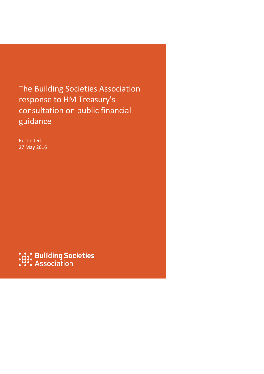The Building Societies Association response to HM Treasury's consultation on public financial guidance

Restricted 27 May 2016

**:.:: Building Societies**<br>:::: Association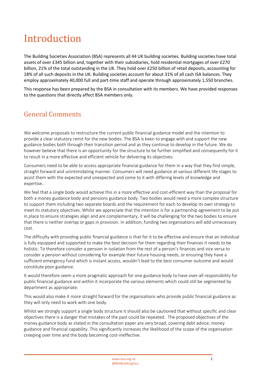# Introduction

The Building Societies Association (BSA) represents all 44 UK building societies. Building societies have total assets of over £345 billion and, together with their subsidiaries, hold residential mortgages of over £270 billion, 21% of the total outstanding in the UK. They hold over £250 billion of retail deposits, accounting for 18% of all such deposits in the UK. Building societies account for about 31% of all cash ISA balances. They employ approximately 40,000 full and part-time staff and operate through approximately 1,550 branches.

This response has been prepared by the BSA in consultation with its members. We have provided responses to the questions that directly affect BSA members only.

## General Comments

We welcome proposals to restructure the current public financial guidance model and the intention to provide a clear statutory remit for the new bodies. The BSA is keen to engage with and support the new guidance bodies both through their transition period and as they continue to develop in the future. We do however believe that there is an opportunity for the structure to be further simplified and consequently for it to result in a more effective and efficient vehicle for delivering its objectives.

Consumers need to be able to access appropriate financial guidance for them in a way that they find simple, straight forward and unintimidating manner. Consumers will need guidance at various different life stages to assist them with the expected and unexpected and come to it with differing levels of knowledge and expertise..

We feel that a single body would achieve this in a more effective and cost-efficient way than the proposal for both a money guidance body and pensions guidance body. Two bodies would need a more complex structure to support them including two separate boards and the requirement for each to develop its own strategy to meet its statutory objectives. Whilst we appreciate that the intention is for a partnership agreement to be put in place to ensure strategies align and are complementary, it will be challenging for the two bodies to ensure that there is neither overlap or gaps in provision. In addition, funding two organisations will add unnecessary cost.

The difficulty with providing public financial guidance is that for it to be effective and ensure that an individual is fully equipped and supported to make the best decision for them regarding their finances it needs to be holistic. To therefore consider a pension in isolation from the rest of a person's finances and vice versa to consider a pension without considering for example their future housing needs, or ensuring they have a sufficient emergency fund which is instant access, wouldn't lead to the best consumer outcome and would constitute poor guidance.

It would therefore seem a more pragmatic approach for one guidance body to have over-all responsibility for public financial guidance and within it incorporate the various elements which could still be segmented by department as appropriate.

This would also make it more straight forward for the organisations who provide public financial guidance as they will only need to work with one body.

Whilst we strongly support a single body structure it should also be cautioned that without specific and clear objectives there is a danger that mistakes of the past could be repeated. The proposed objectives of the money guidance body as stated in the consultation paper are very broad; covering debt advice, money guidance and financial capability. This significantly increases the likelihood of the scope of the organisation creeping over time and the body becoming cost-ineffective.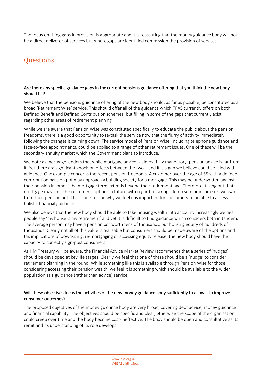The focus on filling gaps in provision is appropriate and it is reassuring that the money guidance body will not be a direct deliverer of services but where gaps are identified commission the provision of services.

## **Questions**

#### Are there any specific guidance gaps in the current pensions guidance offering that you think the new body should fill?

We believe that the pensions guidance offering of the new body should, as far as possible, be constituted as a broad 'Retirement Wise' service. This should offer all of the guidance which TPAS currently offers on both Defined Benefit and Defined Contribution schemes, but filling in some of the gaps that currently exist regarding other areas of retirement planning.

While we are aware that Pension Wise was constituted specifically to educate the public about the pension freedoms, there is a good opportunity to re-task the service now that the flurry of activity immediately following the changes is calming down. The service model of Pension Wise, including telephone guidance and face-to-face appointments, could be applied to a range of other retirement issues. One of these will be the secondary annuity market which the Government plans to introduce.

We note as mortgage lenders that while mortgage advice is almost fully mandatory, pension advice is far from it. Yet there are significant knock-on effects between the two – and it is a gap we believe could be filled with guidance. One example concerns the recent pension freedoms. A customer over the age of 55 with a defined contribution pension pot may approach a building society for a mortgage. This may be underwritten against their pension income if the mortgage term extends beyond their retirement age. Therefore, taking out that mortgage may limit the customer's options in future with regard to taking a lump sum or income drawdown from their pension pot. This is one reason why we feel it is important for consumers to be able to access holistic financial guidance.

We also believe that the new body should be able to take housing wealth into account. Increasingly we hear people say 'my house is my retirement' and yet it is difficult to find guidance which considers both in tandem. The average person may have a pension pot worth tens of thousands, but housing equity of hundreds of thousands. Clearly not all of this value is realisable but consumers should be made aware of the options and tax implications of downsizing, re-mortgaging or accessing equity release, the new body should have the capacity to correctly sign-post consumers.

As HM Treasury will be aware, the Financial Advice Market Review recommends that a series of 'nudges' should be developed at key life stages. Clearly we feel that one of these should be a 'nudge' to consider retirement planning in the round. While something like this is available through Pension Wise for those considering accessing their pension wealth, we feel it is something which should be available to the wider population as a guidance (rather than advice) service.

#### Will these objectives focus the activities of the new money guidance body sufficiently to allow it to improve consumer outcomes?

The proposed objectives of the money guidance body are very broad, covering debt advice, money guidance and financial capability. The objectives should be specific and clear, otherwise the scope of the organisation could creep over time and the body become cost-ineffective. The body should be open and consultative as its remit and its understanding of its role develops.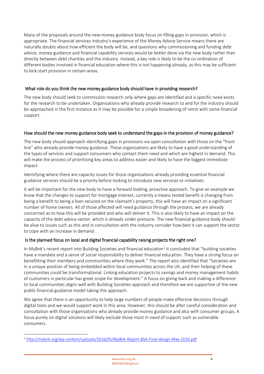Many of the proposals around the new money guidance body focus on filling gaps in provision, which is appropriate. The financial services industry's experience of the Money Advice Service means there are naturally doubts about how efficient the body will be, and questions why commissioning and funding debt advice, money guidance and financial capability services would be better done via the new body rather than directly between debt charities and the industry. Instead, a key role is likely to be the co-ordination of different bodies involved in financial education where this is not happening already, as this may be sufficient to kick-start provision in certain areas.

#### What role do you think the new money guidance body should have in providing research?

The new body should seek to commission research only where gaps are identified and a specific need exists for the research to be undertaken. Organisations who already provide research to and for the industry should be approached in the first instance as it may be possible for a simple broadening of remit with some financial support.

#### How should the new money guidance body seek to understand the gaps in the provision of money guidance?

The new body should approach identifying gaps in provisions via open consultation with those on the "front line" who already provide money guidance. These organisations are likely to have a good understanding of the types of services and support consumers who contact them need and which are highest in demand. This will make the process of prioritising key areas to address easier and likely to have the biggest immediate impact.

Identifying where there are capacity issues for those organisations already providing essential financial guidance services should be a priority before looking to introduce new services or initiatives.

It will be important for the new body to have a forward looking, proactive approach. To give an example we know that the changes to support for mortgage interest, currently a means tested benefit is changing from being a benefit to being a loan secured on the claimant's property, this will have an impact on a significant number of home owners. All of those affected will need guidance through the process, we are already concerned as to how this will be provided and who will deliver it. This is also likely to have an impact on the capacity of the debt advice sector, which is already under pressure. The new financial guidance body should be alive to issues such as this and in consultation with the industry consider how best it can support the sector to cope with an increase in demand.

#### Is the planned focus on local and digital financial capability raising projects the right one?

In MyBnk's recent report into Building Societies and financial education<sup>1</sup> it concluded that "building societies have a mandate and a sense of social responsibility to deliver financial education. They have a strong focus on benefitting their members and communities where they work." The report also identified that "Societies are in a unique position of being embedded within local communities across the UK, and their helping of these communities could be transformational. Linking education projects to savings and money management habits of customers in particular has great scope for development." A focus on giving back and making a difference to local communities aligns well with Building Societies approach and therefore we are supportive of the new public financial guidance model taking this approach.

We agree that there is an opportunity to help large numbers of people make effective decisions through digital tools and we would support work in this area. However, this should be after careful consideration and consultation with those organisations who already provide money guidance and also with consumer groups. A focus purely on digital solutions will likely exclude those most in need of support such as vulnerable consumers.

**<sup>.</sup>** <sup>1</sup> <http://mybnk.org/wp-content/uploads/2016/05/MyBnk-Report-BSA-Final-design-May-2016.pdf>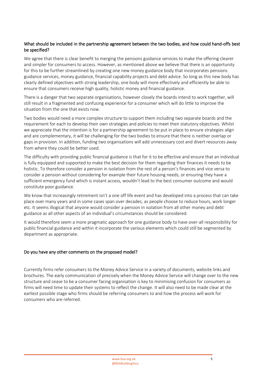#### What should be included in the partnership agreement between the two bodies, and how could hand-offs best be specified?

We agree that there is clear benefit to merging the pensions guidance services to make the offering clearer and simpler for consumers to access. However, as mentioned above we believe that there is an opportunity for this to be further streamlined by creating one new money guidance body that incorporates pensions guidance services, money guidance, financial capability projects and debt advice. So long as this new body has clearly defined objectives with strong leadership, one body will more effectively and efficiently be able to ensure that consumers receive high quality, holistic money and financial guidance.

There is a danger that two separate organisations, however closely the boards intend to work together, will still result in a fragmented and confusing experience for a consumer which will do little to improve the situation from the one that exists now.

Two bodies would need a more complex structure to support them including two separate boards and the requirement for each to develop their own strategies and policies to meet their statutory objectives. Whilst we appreciate that the intention is for a partnership agreement to be put in place to ensure strategies align and are complementary, it will be challenging for the two bodies to ensure that there is neither overlap or gaps in provision. In addition, funding two organisations will add unnecessary cost and divert resources away from where they could be better used.

The difficulty with providing public financial guidance is that for it to be effective and ensure that an individual is fully equipped and supported to make the best decision for them regarding their finances it needs to be holistic. To therefore consider a pension in isolation from the rest of a person's finances and vice versa to consider a pension without considering for example their future housing needs, or ensuring they have a sufficient emergency fund which is instant access, wouldn't lead to the best consumer outcome and would constitute poor guidance.

We know that increasingly retirement isn't a one off life event and has developed into a process that can take place over many years and in some cases span over decades, as people choose to reduce hours, work longer etc. It seems illogical that anyone would consider a pension in isolation from all other money and debt guidance as all other aspects of an individual's circumstances should be considered.

It would therefore seem a more pragmatic approach for one guidance body to have over-all responsibility for public financial guidance and within it incorporate the various elements which could still be segmented by department as appropriate.

#### Do you have any other comments on the proposed model?

Currently firms refer consumers to the Money Advice Service in a variety of documents, website links and brochures. The early communication of precisely when the Money Advice Service will change over to the new structure and cease to be a consumer facing organisation is key to minimising confusion for consumers as firms will need time to update their systems to reflect the change. It will also need to be made clear at the earliest possible stage who firms should be referring consumers to and how the process will work for consumers who are referred.